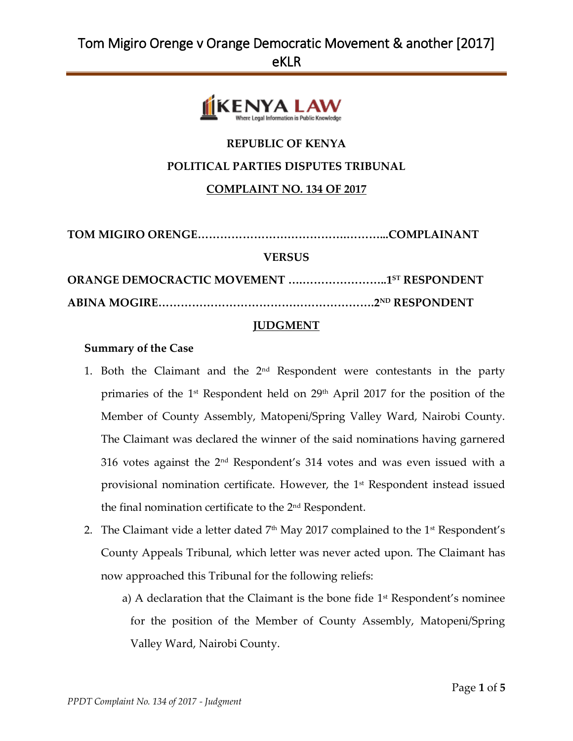

## **REPUBLIC OF KENYA**

### **POLITICAL PARTIES DISPUTES TRIBUNAL**

### **COMPLAINT NO. 134 OF 2017**

**TOM MIGIRO ORENGE………………………………….………...COMPLAINANT**

#### **VERSUS**

**ORANGE DEMOCRACTIC MOVEMENT ….…………………..1 ST RESPONDENT ABINA MOGIRE………………………………………………….2ND RESPONDENT**

#### **JUDGMENT**

#### **Summary of the Case**

- 1. Both the Claimant and the  $2<sup>nd</sup>$  Respondent were contestants in the party primaries of the 1st Respondent held on 29th April 2017 for the position of the Member of County Assembly, Matopeni/Spring Valley Ward, Nairobi County. The Claimant was declared the winner of the said nominations having garnered 316 votes against the 2nd Respondent's 314 votes and was even issued with a provisional nomination certificate. However, the 1st Respondent instead issued the final nomination certificate to the 2<sup>nd</sup> Respondent.
- 2. The Claimant vide a letter dated  $7<sup>th</sup>$  May 2017 complained to the 1<sup>st</sup> Respondent's County Appeals Tribunal, which letter was never acted upon. The Claimant has now approached this Tribunal for the following reliefs:
	- a) A declaration that the Claimant is the bone fide 1<sup>st</sup> Respondent's nominee for the position of the Member of County Assembly, Matopeni/Spring Valley Ward, Nairobi County.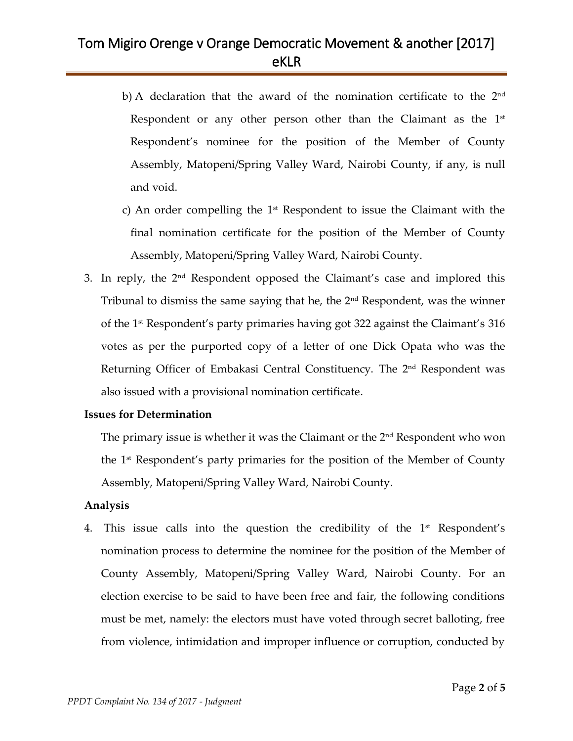- b) A declaration that the award of the nomination certificate to the  $2<sup>nd</sup>$ Respondent or any other person other than the Claimant as the  $1<sup>st</sup>$ Respondent's nominee for the position of the Member of County Assembly, Matopeni/Spring Valley Ward, Nairobi County, if any, is null and void.
- c) An order compelling the  $1<sup>st</sup>$  Respondent to issue the Claimant with the final nomination certificate for the position of the Member of County Assembly, Matopeni/Spring Valley Ward, Nairobi County.
- 3. In reply, the 2nd Respondent opposed the Claimant's case and implored this Tribunal to dismiss the same saying that he, the 2nd Respondent, was the winner of the 1st Respondent's party primaries having got 322 against the Claimant's 316 votes as per the purported copy of a letter of one Dick Opata who was the Returning Officer of Embakasi Central Constituency. The 2<sup>nd</sup> Respondent was also issued with a provisional nomination certificate.

### **Issues for Determination**

The primary issue is whether it was the Claimant or the  $2<sup>nd</sup>$  Respondent who won the 1 st Respondent's party primaries for the position of the Member of County Assembly, Matopeni/Spring Valley Ward, Nairobi County.

### **Analysis**

4. This issue calls into the question the credibility of the  $1<sup>st</sup>$  Respondent's nomination process to determine the nominee for the position of the Member of County Assembly, Matopeni/Spring Valley Ward, Nairobi County. For an election exercise to be said to have been free and fair, the following conditions must be met, namely: the electors must have voted through secret balloting, free from violence, intimidation and improper influence or corruption, conducted by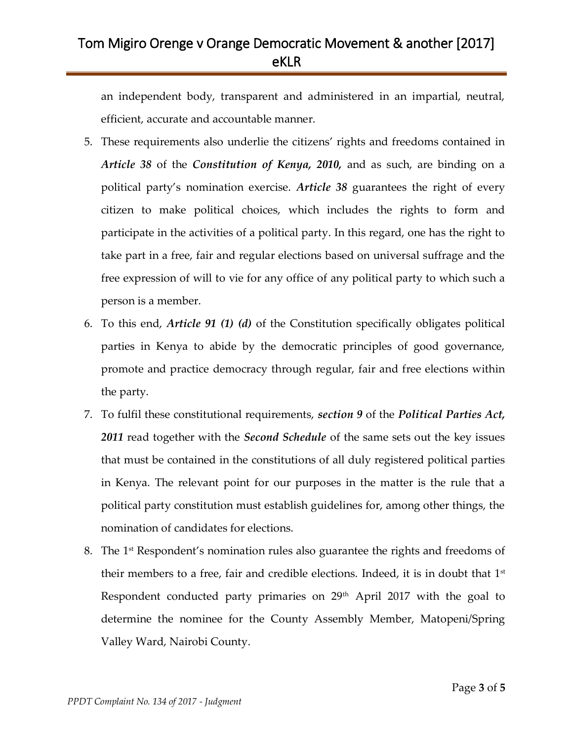an independent body, transparent and administered in an impartial, neutral, efficient, accurate and accountable manner.

- 5. These requirements also underlie the citizens' rights and freedoms contained in *Article 38* of the *Constitution of Kenya, 2010,* and as such, are binding on a political party's nomination exercise. *Article 38* guarantees the right of every citizen to make political choices, which includes the rights to form and participate in the activities of a political party. In this regard, one has the right to take part in a free, fair and regular elections based on universal suffrage and the free expression of will to vie for any office of any political party to which such a person is a member.
- 6. To this end, *Article 91 (1) (d)* of the Constitution specifically obligates political parties in Kenya to abide by the democratic principles of good governance, promote and practice democracy through regular, fair and free elections within the party.
- 7. To fulfil these constitutional requirements, *section 9* of the *Political Parties Act, 2011* read together with the *Second Schedule* of the same sets out the key issues that must be contained in the constitutions of all duly registered political parties in Kenya. The relevant point for our purposes in the matter is the rule that a political party constitution must establish guidelines for, among other things, the nomination of candidates for elections.
- 8. The 1st Respondent's nomination rules also guarantee the rights and freedoms of their members to a free, fair and credible elections. Indeed, it is in doubt that  $1<sup>st</sup>$ Respondent conducted party primaries on 29<sup>th</sup> April 2017 with the goal to determine the nominee for the County Assembly Member, Matopeni/Spring Valley Ward, Nairobi County.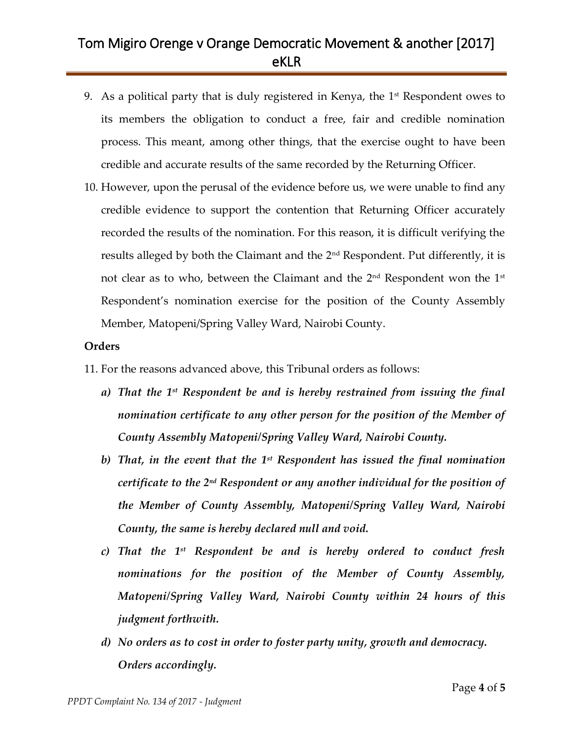- 9. As a political party that is duly registered in Kenya, the  $1<sup>st</sup>$  Respondent owes to its members the obligation to conduct a free, fair and credible nomination process. This meant, among other things, that the exercise ought to have been credible and accurate results of the same recorded by the Returning Officer.
- 10. However, upon the perusal of the evidence before us, we were unable to find any credible evidence to support the contention that Returning Officer accurately recorded the results of the nomination. For this reason, it is difficult verifying the results alleged by both the Claimant and the 2nd Respondent. Put differently, it is not clear as to who, between the Claimant and the 2nd Respondent won the 1st Respondent's nomination exercise for the position of the County Assembly Member, Matopeni/Spring Valley Ward, Nairobi County.

### **Orders**

- 11. For the reasons advanced above, this Tribunal orders as follows:
	- *a) That the 1st Respondent be and is hereby restrained from issuing the final nomination certificate to any other person for the position of the Member of County Assembly Matopeni/Spring Valley Ward, Nairobi County.*
	- *b) That, in the event that the 1st Respondent has issued the final nomination certificate to the 2nd Respondent or any another individual for the position of the Member of County Assembly, Matopeni/Spring Valley Ward, Nairobi County, the same is hereby declared null and void.*
	- *c) That the 1st Respondent be and is hereby ordered to conduct fresh nominations for the position of the Member of County Assembly, Matopeni/Spring Valley Ward, Nairobi County within 24 hours of this judgment forthwith.*
	- *d) No orders as to cost in order to foster party unity, growth and democracy. Orders accordingly.*